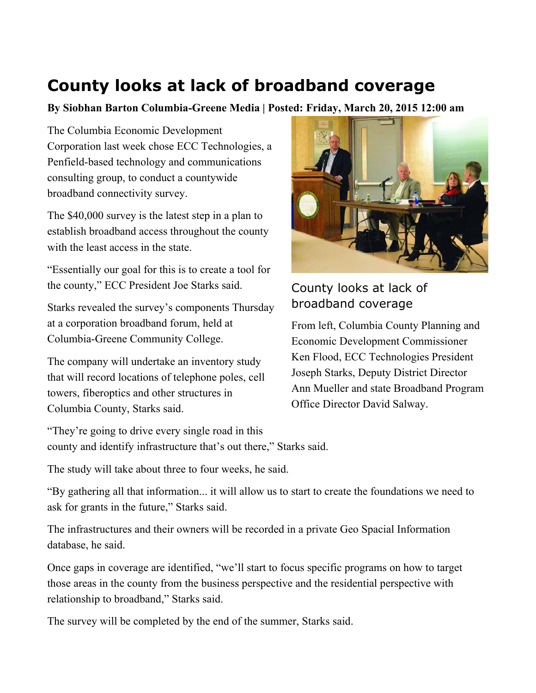## **County looks at lack of broadband coverage**

**By Siobhan Barton Columbia-Greene Media | Posted: Friday, March 20, 2015 12:00 am** 

The Columbia Economic Development Corporation last week chose ECC Technologies, a Penfield-based technology and communications consulting group, to conduct a countywide broadband connectivity survey.

The \$40,000 survey is the latest step in a plan to establish broadband access throughout the county with the least access in the state.

"Essentially our goal for this is to create a tool for the county," ECC President Joe Starks said.

Starks revealed the survey's components Thursday at a corporation broadband forum, held at Columbia-Greene Community College.

The company will undertake an inventory study that will record locations of telephone poles, cell towers, fiberoptics and other structures in Columbia County, Starks said.



County looks at lack of broadband coverage

From left, Columbia County Planning and Economic Development Commissioner Ken Flood, ECC Technologies President Joseph Starks, Deputy District Director Ann Mueller and state Broadband Program Office Director David Salway.

"They're going to drive every single road in this county and identify infrastructure that's out there," Starks said.

The study will take about three to four weeks, he said.

"By gathering all that information... it will allow us to start to create the foundations we need to ask for grants in the future," Starks said.

The infrastructures and their owners will be recorded in a private Geo Spacial Information database, he said.

Once gaps in coverage are identified, "we'll start to focus specific programs on how to target those areas in the county from the business perspective and the residential perspective with relationship to broadband," Starks said.

The survey will be completed by the end of the summer, Starks said.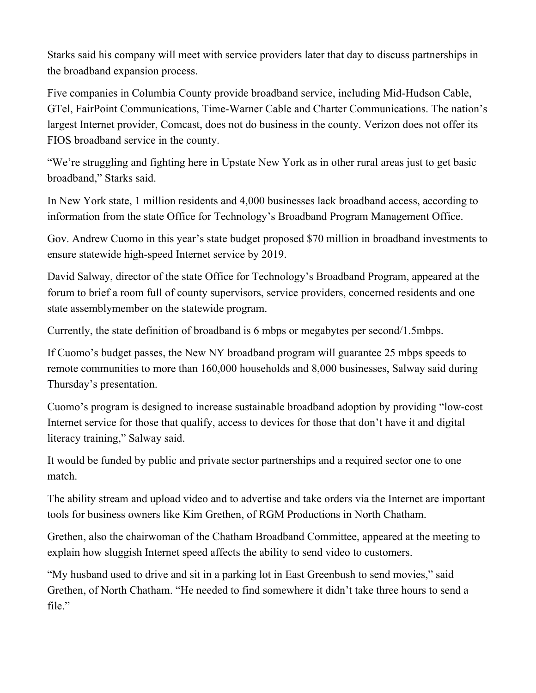Starks said his company will meet with service providers later that day to discuss partnerships in the broadband expansion process.

Five companies in Columbia County provide broadband service, including Mid-Hudson Cable, GTel, FairPoint Communications, Time-Warner Cable and Charter Communications. The nation's largest Internet provider, Comcast, does not do business in the county. Verizon does not offer its FIOS broadband service in the county.

"We're struggling and fighting here in Upstate New York as in other rural areas just to get basic broadband," Starks said.

In New York state, 1 million residents and 4,000 businesses lack broadband access, according to information from the state Office for Technology's Broadband Program Management Office.

Gov. Andrew Cuomo in this year's state budget proposed \$70 million in broadband investments to ensure statewide high-speed Internet service by 2019.

David Salway, director of the state Office for Technology's Broadband Program, appeared at the forum to brief a room full of county supervisors, service providers, concerned residents and one state assemblymember on the statewide program.

Currently, the state definition of broadband is 6 mbps or megabytes per second/1.5mbps.

If Cuomo's budget passes, the New NY broadband program will guarantee 25 mbps speeds to remote communities to more than 160,000 households and 8,000 businesses, Salway said during Thursday's presentation.

Cuomo's program is designed to increase sustainable broadband adoption by providing "low-cost Internet service for those that qualify, access to devices for those that don't have it and digital literacy training," Salway said.

It would be funded by public and private sector partnerships and a required sector one to one match.

The ability stream and upload video and to advertise and take orders via the Internet are important tools for business owners like Kim Grethen, of RGM Productions in North Chatham.

Grethen, also the chairwoman of the Chatham Broadband Committee, appeared at the meeting to explain how sluggish Internet speed affects the ability to send video to customers.

"My husband used to drive and sit in a parking lot in East Greenbush to send movies," said Grethen, of North Chatham. "He needed to find somewhere it didn't take three hours to send a file."